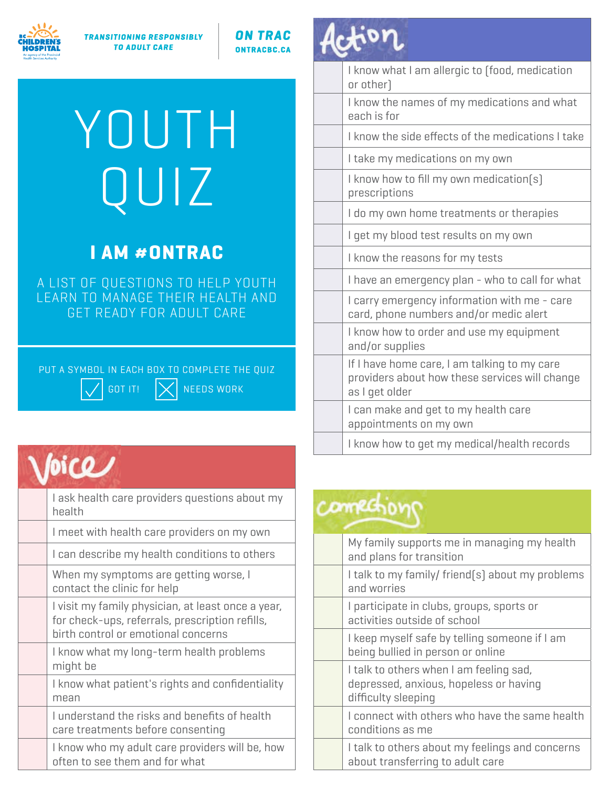

**TRANSITIONING RESPONSIBLY TO ADULT CARE** 

**ON TRAC ONTRACBC.CA** 

# YOUTH QUIZ

#### **I AM #ONTRAC**

A LIST OF QUESTIONS TO HELP YOUTH LEARN TO MANAGE THEIR HEALTH AND GET READY FOR ADULT CARE

PUT A SYMBOL IN EACH BOX TO COMPLETE THE QUIZ GOT IT!  $|\times|$  needs work

#### $\sqrt{picQ}$

| I ask health care providers questions about my<br>health                                                                                     |
|----------------------------------------------------------------------------------------------------------------------------------------------|
| I meet with health care providers on my own                                                                                                  |
| I can describe my health conditions to others                                                                                                |
| When my symptoms are getting worse, I<br>contact the clinic for help                                                                         |
| I visit my family physician, at least once a year,<br>for check-ups, referrals, prescription refills,<br>birth control or emotional concerns |
| I know what my long-term health problems<br>might be                                                                                         |
| I know what patient's rights and confidentiality<br>mean                                                                                     |
| I understand the risks and benefits of health<br>care treatments before consenting                                                           |
| I know who my adult care providers will be, how<br>often to see them and for what                                                            |

### Action

| I know what I am allergic to (food, medication<br>or other)                                                      |
|------------------------------------------------------------------------------------------------------------------|
| I know the names of my medications and what<br>each is for                                                       |
| I know the side effects of the medications I take                                                                |
| I take my medications on my own                                                                                  |
| I know how to fill my own medication(s)<br>prescriptions                                                         |
| I do my own home treatments or therapies                                                                         |
| I get my blood test results on my own                                                                            |
| I know the reasons for my tests                                                                                  |
| I have an emergency plan - who to call for what                                                                  |
| I carry emergency information with me - care<br>card, phone numbers and/or medic alert                           |
| I know how to order and use my equipment<br>and/or supplies                                                      |
| If I have home care, I am talking to my care<br>providers about how these services will change<br>as I get older |
| I can make and get to my health care<br>appointments on my own                                                   |
| I know how to get my medical/health records                                                                      |
|                                                                                                                  |

### connections

| My family supports me in managing my health<br>and plans for transition                                  |
|----------------------------------------------------------------------------------------------------------|
| I talk to my family/ friend(s) about my problems<br>and worries                                          |
| I participate in clubs, groups, sports or<br>activities outside of school                                |
| I keep myself safe by telling someone if I am<br>being bullied in person or online                       |
| I talk to others when I am feeling sad,<br>depressed, anxious, hopeless or having<br>difficulty sleeping |
| I connect with others who have the same health<br>conditions as me                                       |
| I talk to others about my feelings and concerns<br>about transferring to adult care                      |